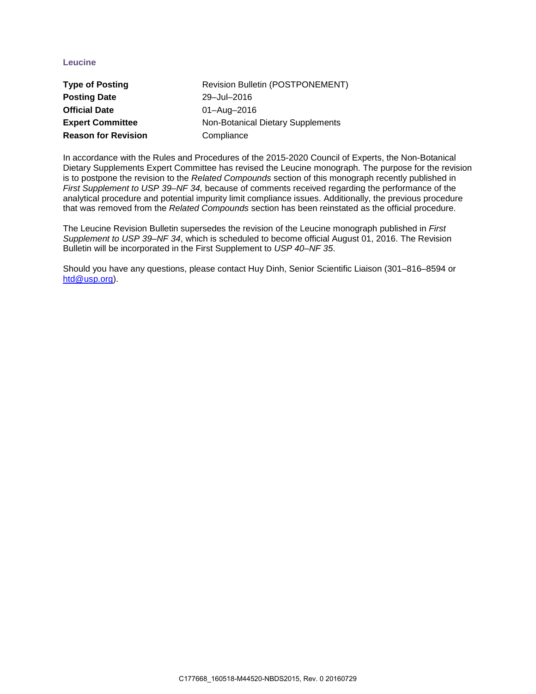### **Leucine**

| <b>Type of Posting</b>     | <b>Revision Bulletin (POSTPONEMENT)</b> |
|----------------------------|-----------------------------------------|
| <b>Posting Date</b>        | 29-Jul-2016                             |
| <b>Official Date</b>       | 01-Aug-2016                             |
| <b>Expert Committee</b>    | Non-Botanical Dietary Supplements       |
| <b>Reason for Revision</b> | Compliance                              |

In accordance with the Rules and Procedures of the 2015-2020 Council of Experts, the Non-Botanical Dietary Supplements Expert Committee has revised the Leucine monograph. The purpose for the revision is to postpone the revision to the *Related Compounds* section of this monograph recently published in *First Supplement to USP 39–NF 34,* because of comments received regarding the performance of the analytical procedure and potential impurity limit compliance issues. Additionally, the previous procedure that was removed from the *Related Compounds* section has been reinstated as the official procedure.

The Leucine Revision Bulletin supersedes the revision of the Leucine monograph published in *First Supplement to USP 39–NF 34*, which is scheduled to become official August 01, 2016. The Revision Bulletin will be incorporated in the First Supplement to *USP 40–NF 35*.

Should you have any questions, please contact Huy Dinh, Senior Scientific Liaison (301–816–8594 or [htd@usp.org\)](mailto:htd@usp.org).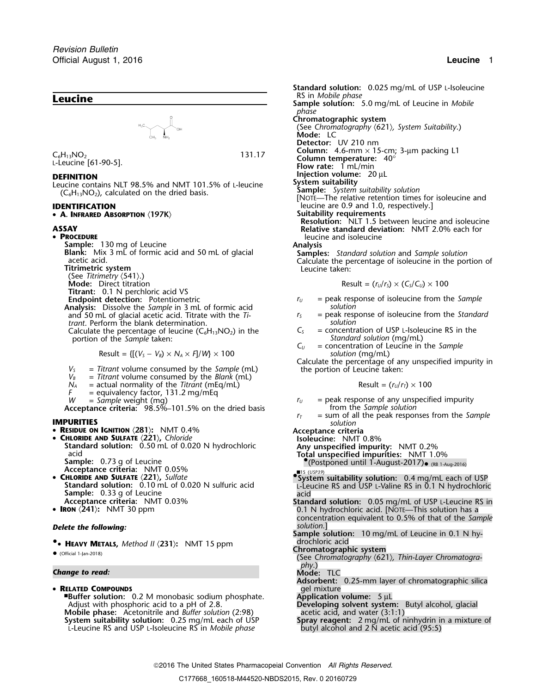# RS in *Mobile phase* **Leucine Sample solution:** 5.0 mg/mL of Leucine in *Mobile*  $H_3C$   $\bigvee_{CH_3}$   $H_3$   $\bigvee_{NH_3}$

• **<sup>A</sup>. INFRARED ABSORPTION** 〈**197K**〉 **Suitability requirements**

### • PROCEDURE

**PROCEDURE**<br> **PROCEDURE** leucine and isoleucine<br> **Sample:** 130 mg of Leucine and Leucine and isoleucine and isoleucine

(See Titrimetry **(541).)**<br>Mode: Direct titration

**Titrant:** 0.1 N perchloric acid VS<br>**Endpoint detection:** Potentiometric

- **Analysis:** Dissolve the *Sample* in 3 mL of formic acid *solution* and 50 mL of glacial acetic acid. Titrate with the *Ti*- *r<sub>S</sub>* = peak response trant. Perform the blank determination.
- *trant.* Perform the blank determination.

portion of the *Sample* taken: **Standard solution** (Separation of the *Sample* taken: **Subset of the** *Sample* taken: **Subset of the** *Sample* taken:

 $Result = \{ [(V<sub>S</sub> - V<sub>B</sub>) \times N<sub>A</sub> \times F]/W \} \times 100$ 

- 
- 
- $N_A$  = actual normality of the *Titrant* (mEq/mL) Result = ( $r_u/r_T$ )  $\times$  100
- *F* = equivalency factor, 131.2 mg/mEq
- 

**Acceptance criteria:** 98.5%–101.5% on the dried basis  $r_I$ 

- **<sup>R</sup>ESIDUE ON IGNITION** 〈**281**〉**:** NMT 0.4% **Acceptance criteria CHLORIDE AND SULFATE** 〈**221**〉**,** *Chloride* **Isoleucine:** NMT 0.8%
- **Standard solution:** 0.50 mL of 0.020 N hydrochloric **Any unspecified impurity:** NMT 0.2%
- **Sample:** 0.73 g of Leucine •.(Postponed until 1-August-2017)• (RB 1-Aug-2016)
- **Acceptance criteria:** NMT 0.05%
- CHLORIDE AND SULFATE  $\langle 221 \rangle$ , Sulfate
- 
- IRON  $\langle 241 \rangle$ : NMT 30 ppm

### **Delete the following: Solution. Delete the following: solution.**

**•** drochloric acid **.**• **<sup>H</sup>EAVY METALS,** *Method II* 〈**231**〉**:** NMT 15 ppm **Chromatographic system** •

## *<sup>p</sup>hy*.) *Change to read:* **Mode:** TLC

• **RELATED COMPOUNDS** gel mixture

■**.Buffer solution:** 0.2 M monobasic sodium phosphate. **Application volume:** 5 µL Adjust with phosphoric acid to a pH of 2.8. **Developing solvent system:** Butyl alcohol, glacial **Mobile phase:** Acetonitrile and *Buffer solution* (2:98) **Developing solvent system:** Butyl alcohol, glacial **Mobile phase:** Acetonitrile and *Buffer solution* (2:98) System suitability solution: 0.25 mg/mL each of USP<br>L-Leucine RS and USP L-Isoleucine RS in *Mobile phase* 

**Standard solution:** 0.025 mg/mL of USP L-Isoleucine<br>RS in *Mobile phase phase* **Chromatographic system** (See *Chromatography* 〈621〉*, System Suitability*.) **Mode:** LC **Detector:** UV 210 nm **Column:** 4.6-mm × 15-cm; 3-µm packing L1 <sup>C</sup>6H13NO<sup>2</sup> 131.17 **Column temperature:** 40° <sup>L</sup>-Leucine [61-90-5]. **Flow rate:**<sup>1</sup> mL/min **DEFINITION Injection volume:** 20 µL<br> **Injection volume:** 20 µL<br> **Injection volume:** 20 µL Leucine contains NLT 98.5% and NMT 101.5% of L-leucine<br>(C<sub>6</sub>H<sub>13</sub>NO<sub>2</sub>), calculated on the dried basis.<br>[NOTE—The relative retention times for isoleucine and]<br>[NOTE—The relative retention times for isoleucine and] **IDENTIFICATION**<br>
• **A. INFRARED ABSORPTION** <197K> **Suitability requirements**Suitability equirements **Resolution:** NLT 1.5 between leucine and isoleucine **ASSAY Relative standard deviation:** NMT 2.0% each for **Sample:** 130 mg of Leucine<br> **Blank:** Mix 3 mL of formic acid and 50 mL of glacial<br>
acetic acid.<br>
Titrimetric system<br>
Titrimetric system<br>
Titrimetric system<br>
Titrimetric system<br>
Calculate the percentage of isoleucine in th  $\text{Result} = (r_U/r_S) \times (C_S/C_U) \times 100$  $r_U$  = peak response of isoleucine from the *Sample* solution

- 
- Calculate the percentage of leucine  $(C_6H_{13}NO_2)$  in the  $C_5$  = concentration of USP L-Isoleucine RS in the portion of the *Sample* taken: *Standard solution* (mg/mL)
	- = concentration of Leucine in the *Sample*<br>*Solution* (mg/mL)

 $V_s$  = Titrant volume consumed by the *Sample* (mL)<br>  $V_s$  = Titrant volume consumed by the *Sample* (mL)<br>  $V_B$  = Titrant volume consumed by the *Blank* (mL)<br>  $N_A$  = actual normality of the *Titrant* (mEq/mL)<br>  $N_A$  = actua

$$
Result = (r_U/r_T) \times 100
$$

- *W* = *Sample* weight (mg)  $V = 101.5\%$  on the dried basis *ru* = peak response of any unspecified impurity **cceptance criteria:** 98.5%–101.5% on the dried basis from the Sample solution
- **IMPURITIES IMPURITIES** *r***<sub>***T***</sub>** = sum of all the peak responses from the *Sample solution*

- acid **Total unspecified impurities:** NMT 1.0%
	-

Acceptance criteria: NM1 0.05%<br> **CHLORIDE AND SULFATE** (221), Sulfate<br> **CHLORIDE AND SULFATE** (221), Sulfate<br>
Standard solution: 0.10 mL of 0.020 N sulfuric acid<br>
Standard solution: 0.05 mg/mL of USP L-Leucine RS in<br>
Accep

- **Standard solution:** 0.05 mg/mL of USP L-Leucine RS in **0.1 N** hydrochloric acid. [NOTE—This solution has a concentration equivalent to 0.5% of that of the *Sample*
- **Sample solution:** 10 mg/mL of Leucine in 0.1 N hy-

- Chromatographic system<br>● (Official 1-Jan-2018) (See *Chromatography (621)*, *Thin-Layer Chromatogra-*
	-
	- **Adsorbent:** 0.25-mm layer of chromatographic silica

**Spray reagent:** 2 mg/mL of ninhydrin in a mixture of butyl alcohol and 2 N acetic acid (95:5)